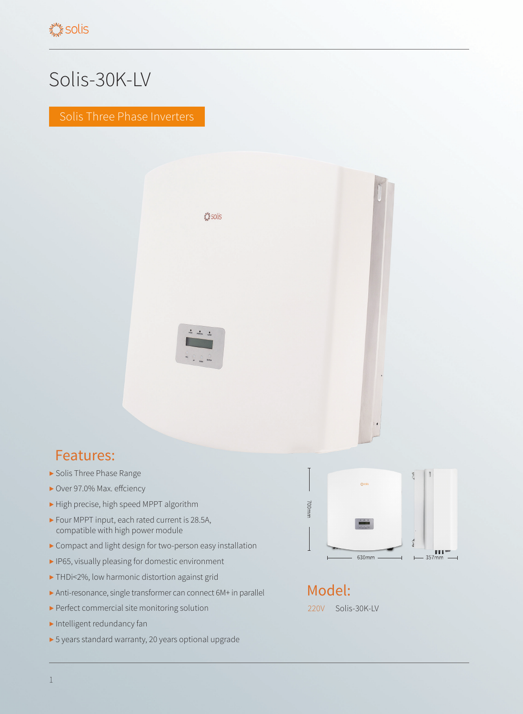## Solis-30K-LV

Solis Three Phase Inverters



## Features:

- ▶ Solis Three Phase Range
- ▶ Over 97.0% Max. effciency
- ▶ High precise, high speed MPPT algorithm
- ▶ Four MPPT input, each rated current is 28.5A, compatible with high power module
- ▶ Compact and light design for two-person easy installation
- ▶ IP65, visually pleasing for domestic environment
- ▶ THDi<2%, low harmonic distortion against grid
- ▶ Anti-resonance, single transformer can connect 6M+ in parallel
- ▶ Perfect commercial site monitoring solution
- ▶ Intelligent redundancy fan
- ▶ 5 years standard warranty, 20 years optional upgrade



Model: 220V Solis-30K-LV